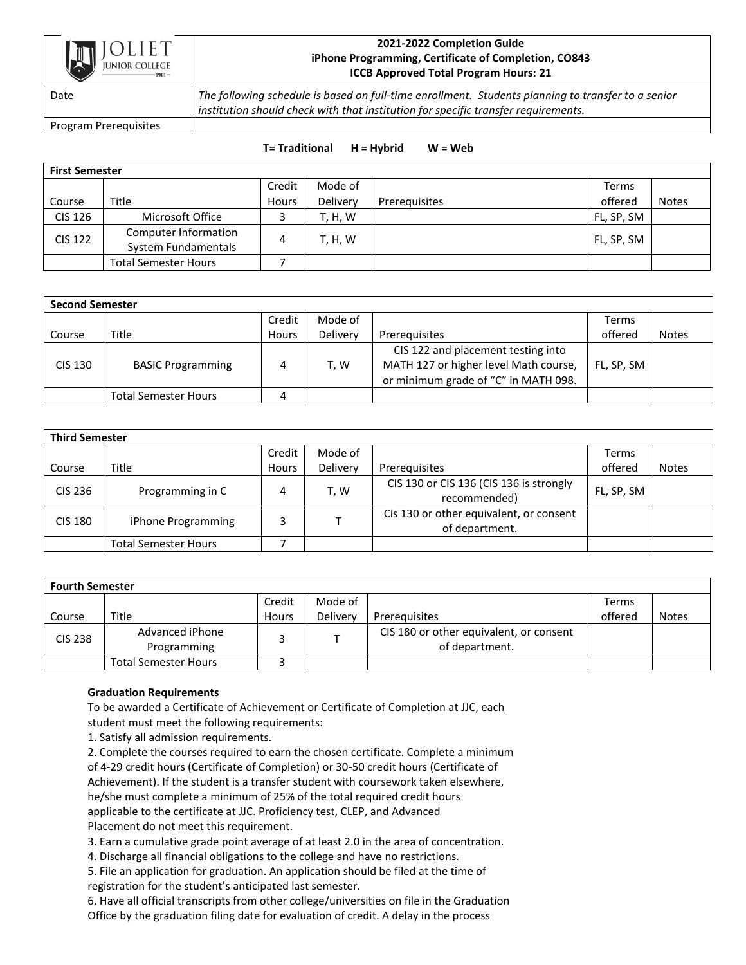

## **2021-2022 Completion Guide iPhone Programming, Certificate of Completion, CO843 ICCB Approved Total Program Hours: 21**

Date *The following schedule is based on full-time enrollment. Students planning to transfer to a senior institution should check with that institution for specific transfer requirements.*

Program Prerequisites

## **T= Traditional H = Hybrid W = Web**

| <b>First Semester</b> |                                             |        |                |               |              |              |  |
|-----------------------|---------------------------------------------|--------|----------------|---------------|--------------|--------------|--|
|                       |                                             | Credit | Mode of        |               | <b>Terms</b> |              |  |
| Course                | Title                                       | Hours  | Delivery       | Prereguisites | offered      | <b>Notes</b> |  |
| <b>CIS 126</b>        | Microsoft Office                            |        | <b>T, H, W</b> |               | FL, SP, SM   |              |  |
| <b>CIS 122</b>        | Computer Information<br>System Fundamentals | 4      | T, H, W        |               | FL, SP, SM   |              |  |
|                       | <b>Total Semester Hours</b>                 |        |                |               |              |              |  |

| <b>Second Semester</b> |                             |        |          |                                                                                                                     |            |              |  |
|------------------------|-----------------------------|--------|----------|---------------------------------------------------------------------------------------------------------------------|------------|--------------|--|
|                        |                             | Credit | Mode of  |                                                                                                                     | Terms      |              |  |
| Course                 | Title                       | Hours  | Delivery | Prerequisites                                                                                                       | offered    | <b>Notes</b> |  |
| CIS 130                | <b>BASIC Programming</b>    |        | T, W     | CIS 122 and placement testing into<br>MATH 127 or higher level Math course,<br>or minimum grade of "C" in MATH 098. | FL, SP, SM |              |  |
|                        | <b>Total Semester Hours</b> | 4      |          |                                                                                                                     |            |              |  |

| <b>Third Semester</b> |                             |              |          |                                                           |            |              |  |
|-----------------------|-----------------------------|--------------|----------|-----------------------------------------------------------|------------|--------------|--|
|                       |                             | Credit       | Mode of  |                                                           | Terms      |              |  |
| Course                | Title                       | <b>Hours</b> | Delivery | Prerequisites                                             | offered    | <b>Notes</b> |  |
| CIS 236               | Programming in C            | 4            | T, W     | CIS 130 or CIS 136 (CIS 136 is strongly<br>recommended)   | FL, SP, SM |              |  |
| CIS 180               | iPhone Programming          |              |          | Cis 130 or other equivalent, or consent<br>of department. |            |              |  |
|                       | <b>Total Semester Hours</b> |              |          |                                                           |            |              |  |

| <b>Fourth Semester</b> |                             |        |          |                                         |         |              |  |
|------------------------|-----------------------------|--------|----------|-----------------------------------------|---------|--------------|--|
|                        |                             | Credit | Mode of  |                                         | Terms   |              |  |
| Course                 | Title                       | Hours  | Delivery | Prerequisites                           | offered | <b>Notes</b> |  |
| CIS 238                | Advanced iPhone             |        |          | CIS 180 or other equivalent, or consent |         |              |  |
|                        | Programming                 |        |          | of department.                          |         |              |  |
|                        | <b>Total Semester Hours</b> |        |          |                                         |         |              |  |

## **Graduation Requirements**

To be awarded a Certificate of Achievement or Certificate of Completion at JJC, each

student must meet the following requirements:

1. Satisfy all admission requirements.

2. Complete the courses required to earn the chosen certificate. Complete a minimum of 4-29 credit hours (Certificate of Completion) or 30-50 credit hours (Certificate of Achievement). If the student is a transfer student with coursework taken elsewhere, he/she must complete a minimum of 25% of the total required credit hours applicable to the certificate at JJC. Proficiency test, CLEP, and Advanced Placement do not meet this requirement.

3. Earn a cumulative grade point average of at least 2.0 in the area of concentration.

4. Discharge all financial obligations to the college and have no restrictions.

5. File an application for graduation. An application should be filed at the time of registration for the student's anticipated last semester.

6. Have all official transcripts from other college/universities on file in the Graduation Office by the graduation filing date for evaluation of credit. A delay in the process